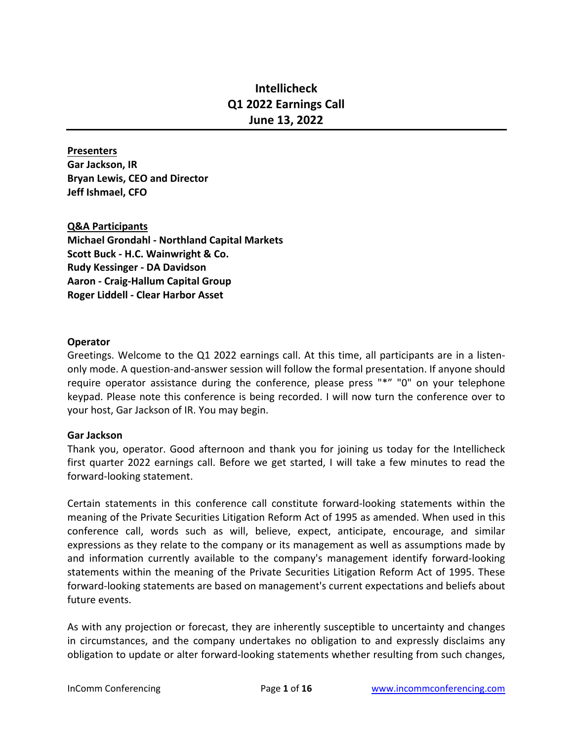# **Intellicheck Q1 2022 Earnings Call June 13, 2022**

#### **Presenters**

**Gar Jackson, IR Bryan Lewis, CEO and Director Jeff Ishmael, CFO**

# **Q&A Participants**

**Michael Grondahl - Northland Capital Markets Scott Buck - H.C. Wainwright & Co. Rudy Kessinger - DA Davidson Aaron - Craig-Hallum Capital Group Roger Liddell - Clear Harbor Asset**

#### **Operator**

Greetings. Welcome to the Q1 2022 earnings call. At this time, all participants are in a listenonly mode. A question-and-answer session will follow the formal presentation. If anyone should require operator assistance during the conference, please press "\*" "0" on your telephone keypad. Please note this conference is being recorded. I will now turn the conference over to your host, Gar Jackson of IR. You may begin.

# **Gar Jackson**

Thank you, operator. Good afternoon and thank you for joining us today for the Intellicheck first quarter 2022 earnings call. Before we get started, I will take a few minutes to read the forward-looking statement.

Certain statements in this conference call constitute forward-looking statements within the meaning of the Private Securities Litigation Reform Act of 1995 as amended. When used in this conference call, words such as will, believe, expect, anticipate, encourage, and similar expressions as they relate to the company or its management as well as assumptions made by and information currently available to the company's management identify forward-looking statements within the meaning of the Private Securities Litigation Reform Act of 1995. These forward-looking statements are based on management's current expectations and beliefs about future events.

As with any projection or forecast, they are inherently susceptible to uncertainty and changes in circumstances, and the company undertakes no obligation to and expressly disclaims any obligation to update or alter forward-looking statements whether resulting from such changes,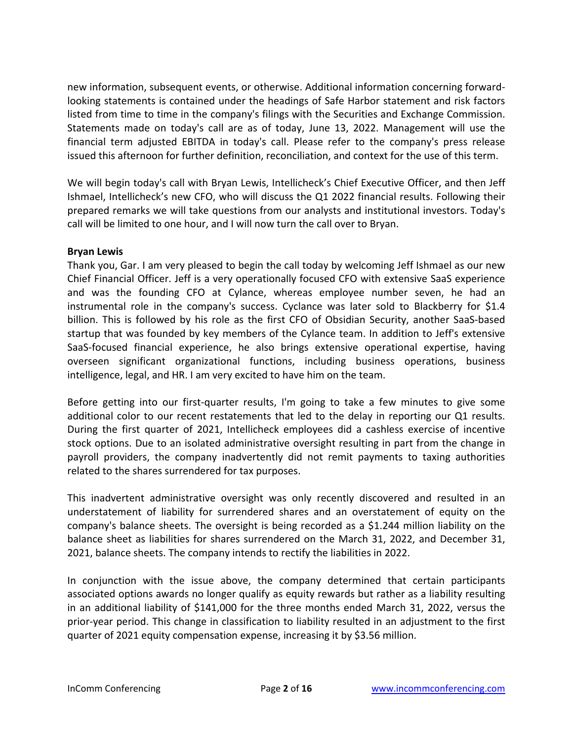new information, subsequent events, or otherwise. Additional information concerning forwardlooking statements is contained under the headings of Safe Harbor statement and risk factors listed from time to time in the company's filings with the Securities and Exchange Commission. Statements made on today's call are as of today, June 13, 2022. Management will use the financial term adjusted EBITDA in today's call. Please refer to the company's press release issued this afternoon for further definition, reconciliation, and context for the use of this term.

We will begin today's call with Bryan Lewis, Intellicheck's Chief Executive Officer, and then Jeff Ishmael, Intellicheck's new CFO, who will discuss the Q1 2022 financial results. Following their prepared remarks we will take questions from our analysts and institutional investors. Today's call will be limited to one hour, and I will now turn the call over to Bryan.

# **Bryan Lewis**

Thank you, Gar. I am very pleased to begin the call today by welcoming Jeff Ishmael as our new Chief Financial Officer. Jeff is a very operationally focused CFO with extensive SaaS experience and was the founding CFO at Cylance, whereas employee number seven, he had an instrumental role in the company's success. Cyclance was later sold to Blackberry for \$1.4 billion. This is followed by his role as the first CFO of Obsidian Security, another SaaS-based startup that was founded by key members of the Cylance team. In addition to Jeff's extensive SaaS-focused financial experience, he also brings extensive operational expertise, having overseen significant organizational functions, including business operations, business intelligence, legal, and HR. I am very excited to have him on the team.

Before getting into our first-quarter results, I'm going to take a few minutes to give some additional color to our recent restatements that led to the delay in reporting our Q1 results. During the first quarter of 2021, Intellicheck employees did a cashless exercise of incentive stock options. Due to an isolated administrative oversight resulting in part from the change in payroll providers, the company inadvertently did not remit payments to taxing authorities related to the shares surrendered for tax purposes.

This inadvertent administrative oversight was only recently discovered and resulted in an understatement of liability for surrendered shares and an overstatement of equity on the company's balance sheets. The oversight is being recorded as a \$1.244 million liability on the balance sheet as liabilities for shares surrendered on the March 31, 2022, and December 31, 2021, balance sheets. The company intends to rectify the liabilities in 2022.

In conjunction with the issue above, the company determined that certain participants associated options awards no longer qualify as equity rewards but rather as a liability resulting in an additional liability of \$141,000 for the three months ended March 31, 2022, versus the prior-year period. This change in classification to liability resulted in an adjustment to the first quarter of 2021 equity compensation expense, increasing it by \$3.56 million.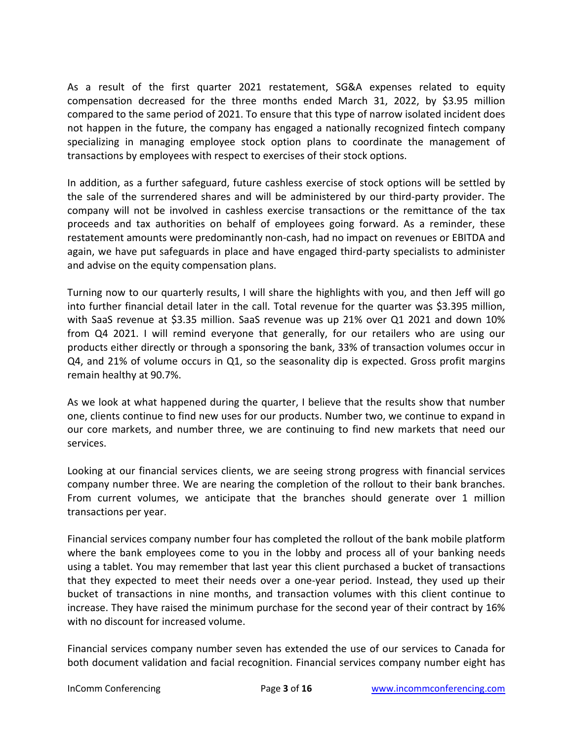As a result of the first quarter 2021 restatement, SG&A expenses related to equity compensation decreased for the three months ended March 31, 2022, by \$3.95 million compared to the same period of 2021. To ensure that this type of narrow isolated incident does not happen in the future, the company has engaged a nationally recognized fintech company specializing in managing employee stock option plans to coordinate the management of transactions by employees with respect to exercises of their stock options.

In addition, as a further safeguard, future cashless exercise of stock options will be settled by the sale of the surrendered shares and will be administered by our third-party provider. The company will not be involved in cashless exercise transactions or the remittance of the tax proceeds and tax authorities on behalf of employees going forward. As a reminder, these restatement amounts were predominantly non-cash, had no impact on revenues or EBITDA and again, we have put safeguards in place and have engaged third-party specialists to administer and advise on the equity compensation plans.

Turning now to our quarterly results, I will share the highlights with you, and then Jeff will go into further financial detail later in the call. Total revenue for the quarter was \$3.395 million, with SaaS revenue at \$3.35 million. SaaS revenue was up 21% over Q1 2021 and down 10% from Q4 2021. I will remind everyone that generally, for our retailers who are using our products either directly or through a sponsoring the bank, 33% of transaction volumes occur in Q4, and 21% of volume occurs in Q1, so the seasonality dip is expected. Gross profit margins remain healthy at 90.7%.

As we look at what happened during the quarter, I believe that the results show that number one, clients continue to find new uses for our products. Number two, we continue to expand in our core markets, and number three, we are continuing to find new markets that need our services.

Looking at our financial services clients, we are seeing strong progress with financial services company number three. We are nearing the completion of the rollout to their bank branches. From current volumes, we anticipate that the branches should generate over 1 million transactions per year.

Financial services company number four has completed the rollout of the bank mobile platform where the bank employees come to you in the lobby and process all of your banking needs using a tablet. You may remember that last year this client purchased a bucket of transactions that they expected to meet their needs over a one-year period. Instead, they used up their bucket of transactions in nine months, and transaction volumes with this client continue to increase. They have raised the minimum purchase for the second year of their contract by 16% with no discount for increased volume.

Financial services company number seven has extended the use of our services to Canada for both document validation and facial recognition. Financial services company number eight has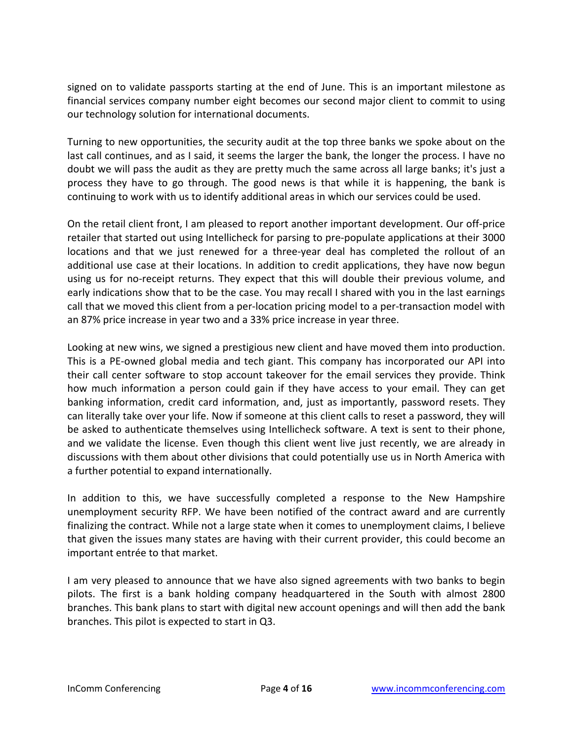signed on to validate passports starting at the end of June. This is an important milestone as financial services company number eight becomes our second major client to commit to using our technology solution for international documents.

Turning to new opportunities, the security audit at the top three banks we spoke about on the last call continues, and as I said, it seems the larger the bank, the longer the process. I have no doubt we will pass the audit as they are pretty much the same across all large banks; it's just a process they have to go through. The good news is that while it is happening, the bank is continuing to work with us to identify additional areas in which our services could be used.

On the retail client front, I am pleased to report another important development. Our off-price retailer that started out using Intellicheck for parsing to pre-populate applications at their 3000 locations and that we just renewed for a three-year deal has completed the rollout of an additional use case at their locations. In addition to credit applications, they have now begun using us for no-receipt returns. They expect that this will double their previous volume, and early indications show that to be the case. You may recall I shared with you in the last earnings call that we moved this client from a per-location pricing model to a per-transaction model with an 87% price increase in year two and a 33% price increase in year three.

Looking at new wins, we signed a prestigious new client and have moved them into production. This is a PE-owned global media and tech giant. This company has incorporated our API into their call center software to stop account takeover for the email services they provide. Think how much information a person could gain if they have access to your email. They can get banking information, credit card information, and, just as importantly, password resets. They can literally take over your life. Now if someone at this client calls to reset a password, they will be asked to authenticate themselves using Intellicheck software. A text is sent to their phone, and we validate the license. Even though this client went live just recently, we are already in discussions with them about other divisions that could potentially use us in North America with a further potential to expand internationally.

In addition to this, we have successfully completed a response to the New Hampshire unemployment security RFP. We have been notified of the contract award and are currently finalizing the contract. While not a large state when it comes to unemployment claims, I believe that given the issues many states are having with their current provider, this could become an important entrée to that market.

I am very pleased to announce that we have also signed agreements with two banks to begin pilots. The first is a bank holding company headquartered in the South with almost 2800 branches. This bank plans to start with digital new account openings and will then add the bank branches. This pilot is expected to start in Q3.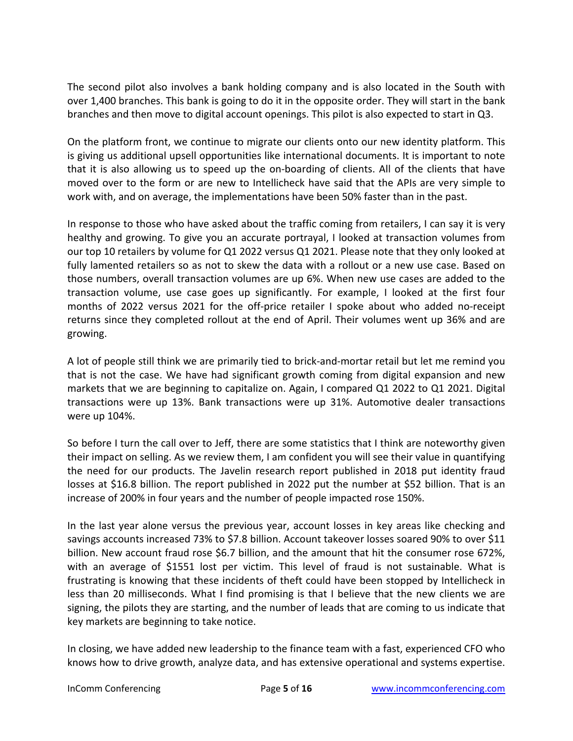The second pilot also involves a bank holding company and is also located in the South with over 1,400 branches. This bank is going to do it in the opposite order. They will start in the bank branches and then move to digital account openings. This pilot is also expected to start in Q3.

On the platform front, we continue to migrate our clients onto our new identity platform. This is giving us additional upsell opportunities like international documents. It is important to note that it is also allowing us to speed up the on-boarding of clients. All of the clients that have moved over to the form or are new to Intellicheck have said that the APIs are very simple to work with, and on average, the implementations have been 50% faster than in the past.

In response to those who have asked about the traffic coming from retailers, I can say it is very healthy and growing. To give you an accurate portrayal, I looked at transaction volumes from our top 10 retailers by volume for Q1 2022 versus Q1 2021. Please note that they only looked at fully lamented retailers so as not to skew the data with a rollout or a new use case. Based on those numbers, overall transaction volumes are up 6%. When new use cases are added to the transaction volume, use case goes up significantly. For example, I looked at the first four months of 2022 versus 2021 for the off-price retailer I spoke about who added no-receipt returns since they completed rollout at the end of April. Their volumes went up 36% and are growing.

A lot of people still think we are primarily tied to brick-and-mortar retail but let me remind you that is not the case. We have had significant growth coming from digital expansion and new markets that we are beginning to capitalize on. Again, I compared Q1 2022 to Q1 2021. Digital transactions were up 13%. Bank transactions were up 31%. Automotive dealer transactions were up 104%.

So before I turn the call over to Jeff, there are some statistics that I think are noteworthy given their impact on selling. As we review them, I am confident you will see their value in quantifying the need for our products. The Javelin research report published in 2018 put identity fraud losses at \$16.8 billion. The report published in 2022 put the number at \$52 billion. That is an increase of 200% in four years and the number of people impacted rose 150%.

In the last year alone versus the previous year, account losses in key areas like checking and savings accounts increased 73% to \$7.8 billion. Account takeover losses soared 90% to over \$11 billion. New account fraud rose \$6.7 billion, and the amount that hit the consumer rose 672%, with an average of \$1551 lost per victim. This level of fraud is not sustainable. What is frustrating is knowing that these incidents of theft could have been stopped by Intellicheck in less than 20 milliseconds. What I find promising is that I believe that the new clients we are signing, the pilots they are starting, and the number of leads that are coming to us indicate that key markets are beginning to take notice.

In closing, we have added new leadership to the finance team with a fast, experienced CFO who knows how to drive growth, analyze data, and has extensive operational and systems expertise.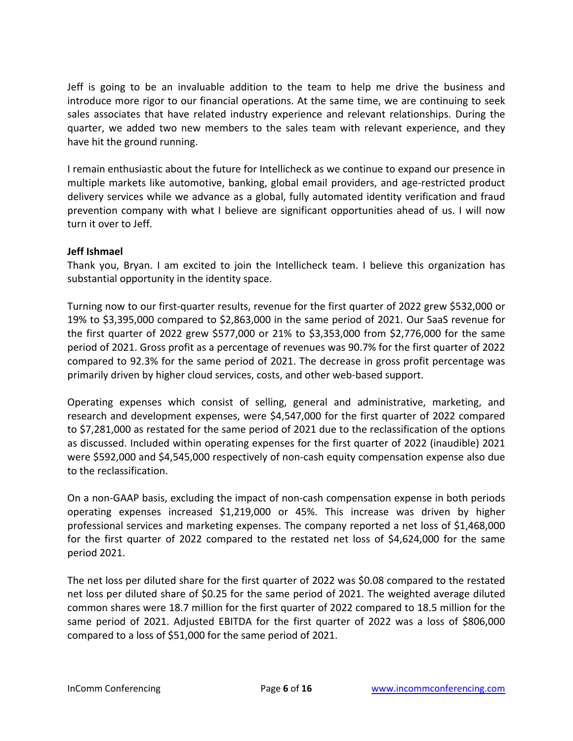Jeff is going to be an invaluable addition to the team to help me drive the business and introduce more rigor to our financial operations. At the same time, we are continuing to seek sales associates that have related industry experience and relevant relationships. During the quarter, we added two new members to the sales team with relevant experience, and they have hit the ground running.

I remain enthusiastic about the future for Intellicheck as we continue to expand our presence in multiple markets like automotive, banking, global email providers, and age-restricted product delivery services while we advance as a global, fully automated identity verification and fraud prevention company with what I believe are significant opportunities ahead of us. I will now turn it over to Jeff.

# **Jeff Ishmael**

Thank you, Bryan. I am excited to join the Intellicheck team. I believe this organization has substantial opportunity in the identity space.

Turning now to our first-quarter results, revenue for the first quarter of 2022 grew \$532,000 or 19% to \$3,395,000 compared to \$2,863,000 in the same period of 2021. Our SaaS revenue for the first quarter of 2022 grew \$577,000 or 21% to \$3,353,000 from \$2,776,000 for the same period of 2021. Gross profit as a percentage of revenues was 90.7% for the first quarter of 2022 compared to 92.3% for the same period of 2021. The decrease in gross profit percentage was primarily driven by higher cloud services, costs, and other web-based support.

Operating expenses which consist of selling, general and administrative, marketing, and research and development expenses, were \$4,547,000 for the first quarter of 2022 compared to \$7,281,000 as restated for the same period of 2021 due to the reclassification of the options as discussed. Included within operating expenses for the first quarter of 2022 (inaudible) 2021 were \$592,000 and \$4,545,000 respectively of non-cash equity compensation expense also due to the reclassification.

On a non-GAAP basis, excluding the impact of non-cash compensation expense in both periods operating expenses increased \$1,219,000 or 45%. This increase was driven by higher professional services and marketing expenses. The company reported a net loss of \$1,468,000 for the first quarter of 2022 compared to the restated net loss of \$4,624,000 for the same period 2021.

The net loss per diluted share for the first quarter of 2022 was \$0.08 compared to the restated net loss per diluted share of \$0.25 for the same period of 2021. The weighted average diluted common shares were 18.7 million for the first quarter of 2022 compared to 18.5 million for the same period of 2021. Adjusted EBITDA for the first quarter of 2022 was a loss of \$806,000 compared to a loss of \$51,000 for the same period of 2021.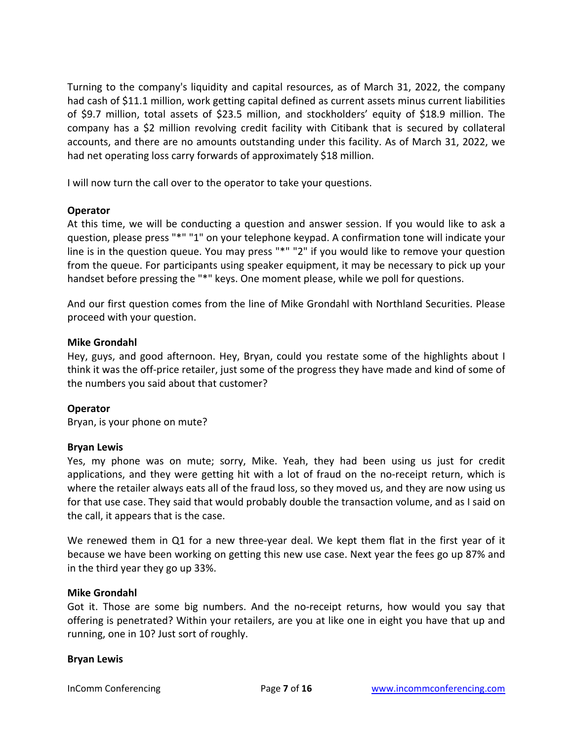Turning to the company's liquidity and capital resources, as of March 31, 2022, the company had cash of \$11.1 million, work getting capital defined as current assets minus current liabilities of \$9.7 million, total assets of \$23.5 million, and stockholders' equity of \$18.9 million. The company has a \$2 million revolving credit facility with Citibank that is secured by collateral accounts, and there are no amounts outstanding under this facility. As of March 31, 2022, we had net operating loss carry forwards of approximately \$18 million.

I will now turn the call over to the operator to take your questions.

# **Operator**

At this time, we will be conducting a question and answer session. If you would like to ask a question, please press "\*" "1" on your telephone keypad. A confirmation tone will indicate your line is in the question queue. You may press "\*" "2" if you would like to remove your question from the queue. For participants using speaker equipment, it may be necessary to pick up your handset before pressing the "\*" keys. One moment please, while we poll for questions.

And our first question comes from the line of Mike Grondahl with Northland Securities. Please proceed with your question.

# **Mike Grondahl**

Hey, guys, and good afternoon. Hey, Bryan, could you restate some of the highlights about I think it was the off-price retailer, just some of the progress they have made and kind of some of the numbers you said about that customer?

# **Operator**

Bryan, is your phone on mute?

# **Bryan Lewis**

Yes, my phone was on mute; sorry, Mike. Yeah, they had been using us just for credit applications, and they were getting hit with a lot of fraud on the no-receipt return, which is where the retailer always eats all of the fraud loss, so they moved us, and they are now using us for that use case. They said that would probably double the transaction volume, and as I said on the call, it appears that is the case.

We renewed them in Q1 for a new three-year deal. We kept them flat in the first year of it because we have been working on getting this new use case. Next year the fees go up 87% and in the third year they go up 33%.

# **Mike Grondahl**

Got it. Those are some big numbers. And the no-receipt returns, how would you say that offering is penetrated? Within your retailers, are you at like one in eight you have that up and running, one in 10? Just sort of roughly.

# **Bryan Lewis**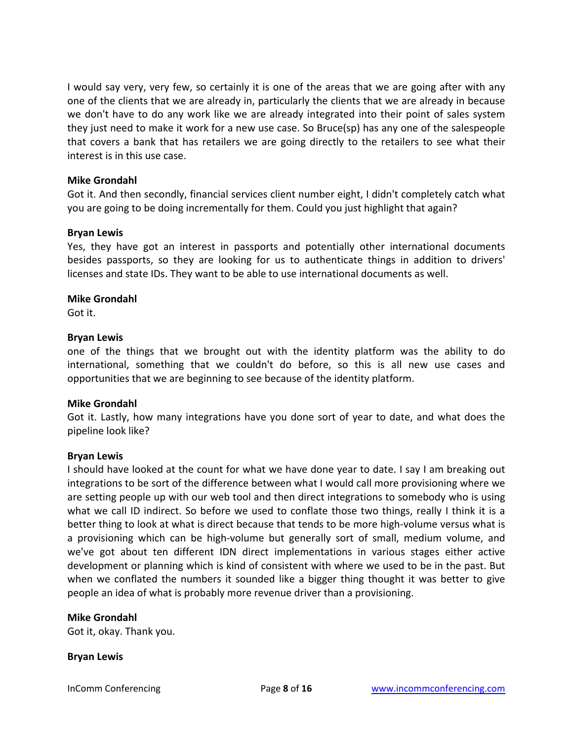I would say very, very few, so certainly it is one of the areas that we are going after with any one of the clients that we are already in, particularly the clients that we are already in because we don't have to do any work like we are already integrated into their point of sales system they just need to make it work for a new use case. So Bruce(sp) has any one of the salespeople that covers a bank that has retailers we are going directly to the retailers to see what their interest is in this use case.

### **Mike Grondahl**

Got it. And then secondly, financial services client number eight, I didn't completely catch what you are going to be doing incrementally for them. Could you just highlight that again?

#### **Bryan Lewis**

Yes, they have got an interest in passports and potentially other international documents besides passports, so they are looking for us to authenticate things in addition to drivers' licenses and state IDs. They want to be able to use international documents as well.

#### **Mike Grondahl**

Got it.

#### **Bryan Lewis**

one of the things that we brought out with the identity platform was the ability to do international, something that we couldn't do before, so this is all new use cases and opportunities that we are beginning to see because of the identity platform.

# **Mike Grondahl**

Got it. Lastly, how many integrations have you done sort of year to date, and what does the pipeline look like?

#### **Bryan Lewis**

I should have looked at the count for what we have done year to date. I say I am breaking out integrations to be sort of the difference between what I would call more provisioning where we are setting people up with our web tool and then direct integrations to somebody who is using what we call ID indirect. So before we used to conflate those two things, really I think it is a better thing to look at what is direct because that tends to be more high-volume versus what is a provisioning which can be high-volume but generally sort of small, medium volume, and we've got about ten different IDN direct implementations in various stages either active development or planning which is kind of consistent with where we used to be in the past. But when we conflated the numbers it sounded like a bigger thing thought it was better to give people an idea of what is probably more revenue driver than a provisioning.

#### **Mike Grondahl**

Got it, okay. Thank you.

#### **Bryan Lewis**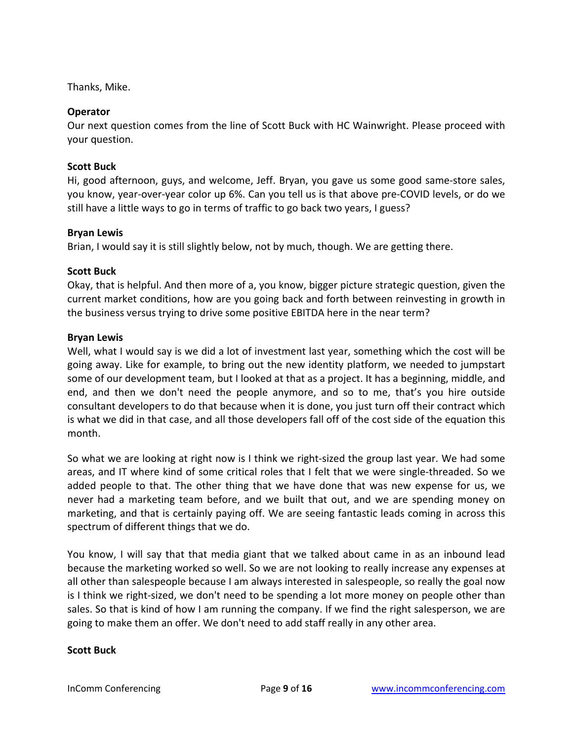Thanks, Mike.

# **Operator**

Our next question comes from the line of Scott Buck with HC Wainwright. Please proceed with your question.

# **Scott Buck**

Hi, good afternoon, guys, and welcome, Jeff. Bryan, you gave us some good same-store sales, you know, year-over-year color up 6%. Can you tell us is that above pre-COVID levels, or do we still have a little ways to go in terms of traffic to go back two years, I guess?

# **Bryan Lewis**

Brian, I would say it is still slightly below, not by much, though. We are getting there.

# **Scott Buck**

Okay, that is helpful. And then more of a, you know, bigger picture strategic question, given the current market conditions, how are you going back and forth between reinvesting in growth in the business versus trying to drive some positive EBITDA here in the near term?

# **Bryan Lewis**

Well, what I would say is we did a lot of investment last year, something which the cost will be going away. Like for example, to bring out the new identity platform, we needed to jumpstart some of our development team, but I looked at that as a project. It has a beginning, middle, and end, and then we don't need the people anymore, and so to me, that's you hire outside consultant developers to do that because when it is done, you just turn off their contract which is what we did in that case, and all those developers fall off of the cost side of the equation this month.

So what we are looking at right now is I think we right-sized the group last year. We had some areas, and IT where kind of some critical roles that I felt that we were single-threaded. So we added people to that. The other thing that we have done that was new expense for us, we never had a marketing team before, and we built that out, and we are spending money on marketing, and that is certainly paying off. We are seeing fantastic leads coming in across this spectrum of different things that we do.

You know, I will say that that media giant that we talked about came in as an inbound lead because the marketing worked so well. So we are not looking to really increase any expenses at all other than salespeople because I am always interested in salespeople, so really the goal now is I think we right-sized, we don't need to be spending a lot more money on people other than sales. So that is kind of how I am running the company. If we find the right salesperson, we are going to make them an offer. We don't need to add staff really in any other area.

# **Scott Buck**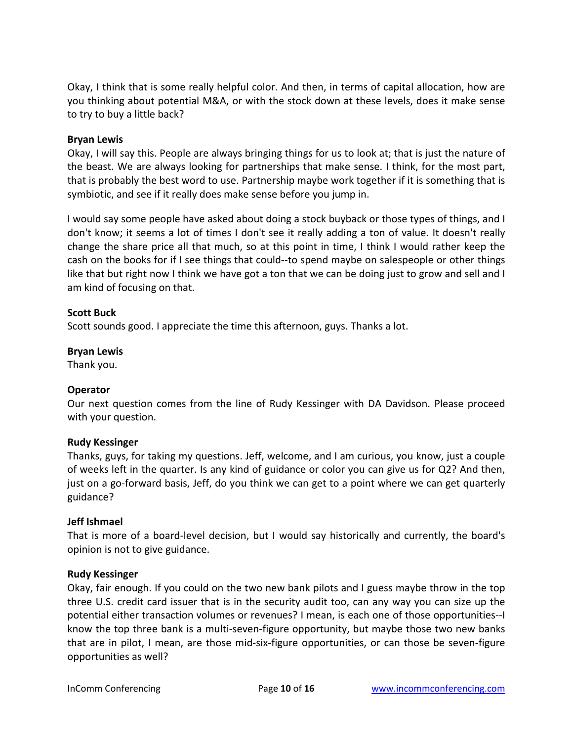Okay, I think that is some really helpful color. And then, in terms of capital allocation, how are you thinking about potential M&A, or with the stock down at these levels, does it make sense to try to buy a little back?

# **Bryan Lewis**

Okay, I will say this. People are always bringing things for us to look at; that is just the nature of the beast. We are always looking for partnerships that make sense. I think, for the most part, that is probably the best word to use. Partnership maybe work together if it is something that is symbiotic, and see if it really does make sense before you jump in.

I would say some people have asked about doing a stock buyback or those types of things, and I don't know; it seems a lot of times I don't see it really adding a ton of value. It doesn't really change the share price all that much, so at this point in time, I think I would rather keep the cash on the books for if I see things that could--to spend maybe on salespeople or other things like that but right now I think we have got a ton that we can be doing just to grow and sell and I am kind of focusing on that.

# **Scott Buck**

Scott sounds good. I appreciate the time this afternoon, guys. Thanks a lot.

# **Bryan Lewis**

Thank you.

# **Operator**

Our next question comes from the line of Rudy Kessinger with DA Davidson. Please proceed with your question.

# **Rudy Kessinger**

Thanks, guys, for taking my questions. Jeff, welcome, and I am curious, you know, just a couple of weeks left in the quarter. Is any kind of guidance or color you can give us for Q2? And then, just on a go-forward basis, Jeff, do you think we can get to a point where we can get quarterly guidance?

# **Jeff Ishmael**

That is more of a board-level decision, but I would say historically and currently, the board's opinion is not to give guidance.

# **Rudy Kessinger**

Okay, fair enough. If you could on the two new bank pilots and I guess maybe throw in the top three U.S. credit card issuer that is in the security audit too, can any way you can size up the potential either transaction volumes or revenues? I mean, is each one of those opportunities--I know the top three bank is a multi-seven-figure opportunity, but maybe those two new banks that are in pilot, I mean, are those mid-six-figure opportunities, or can those be seven-figure opportunities as well?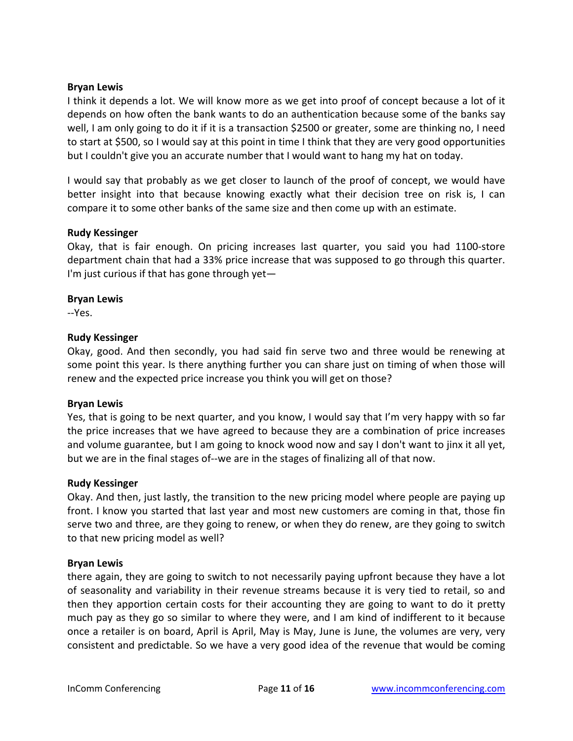# **Bryan Lewis**

I think it depends a lot. We will know more as we get into proof of concept because a lot of it depends on how often the bank wants to do an authentication because some of the banks say well, I am only going to do it if it is a transaction \$2500 or greater, some are thinking no, I need to start at \$500, so I would say at this point in time I think that they are very good opportunities but I couldn't give you an accurate number that I would want to hang my hat on today.

I would say that probably as we get closer to launch of the proof of concept, we would have better insight into that because knowing exactly what their decision tree on risk is, I can compare it to some other banks of the same size and then come up with an estimate.

#### **Rudy Kessinger**

Okay, that is fair enough. On pricing increases last quarter, you said you had 1100-store department chain that had a 33% price increase that was supposed to go through this quarter. I'm just curious if that has gone through yet $-$ 

# **Bryan Lewis**

--Yes.

#### **Rudy Kessinger**

Okay, good. And then secondly, you had said fin serve two and three would be renewing at some point this year. Is there anything further you can share just on timing of when those will renew and the expected price increase you think you will get on those?

# **Bryan Lewis**

Yes, that is going to be next quarter, and you know, I would say that I'm very happy with so far the price increases that we have agreed to because they are a combination of price increases and volume guarantee, but I am going to knock wood now and say I don't want to jinx it all yet, but we are in the final stages of--we are in the stages of finalizing all of that now.

#### **Rudy Kessinger**

Okay. And then, just lastly, the transition to the new pricing model where people are paying up front. I know you started that last year and most new customers are coming in that, those fin serve two and three, are they going to renew, or when they do renew, are they going to switch to that new pricing model as well?

#### **Bryan Lewis**

there again, they are going to switch to not necessarily paying upfront because they have a lot of seasonality and variability in their revenue streams because it is very tied to retail, so and then they apportion certain costs for their accounting they are going to want to do it pretty much pay as they go so similar to where they were, and I am kind of indifferent to it because once a retailer is on board, April is April, May is May, June is June, the volumes are very, very consistent and predictable. So we have a very good idea of the revenue that would be coming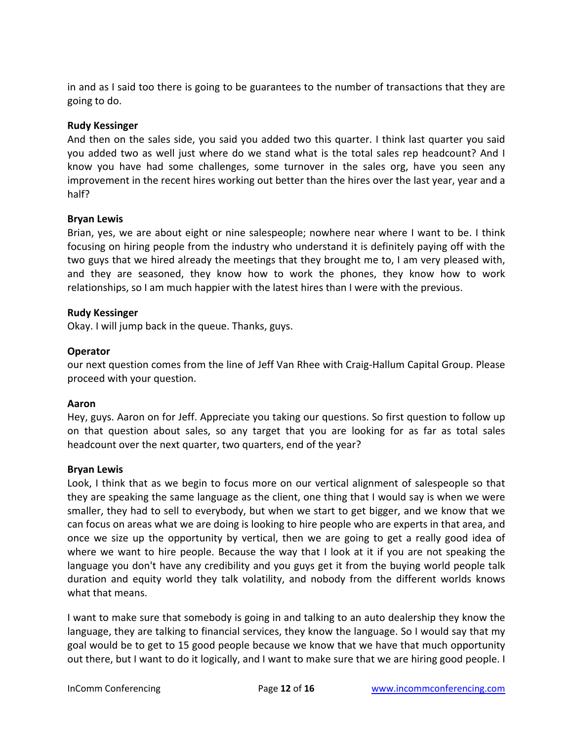in and as I said too there is going to be guarantees to the number of transactions that they are going to do.

# **Rudy Kessinger**

And then on the sales side, you said you added two this quarter. I think last quarter you said you added two as well just where do we stand what is the total sales rep headcount? And I know you have had some challenges, some turnover in the sales org, have you seen any improvement in the recent hires working out better than the hires over the last year, year and a half?

# **Bryan Lewis**

Brian, yes, we are about eight or nine salespeople; nowhere near where I want to be. I think focusing on hiring people from the industry who understand it is definitely paying off with the two guys that we hired already the meetings that they brought me to, I am very pleased with, and they are seasoned, they know how to work the phones, they know how to work relationships, so I am much happier with the latest hires than I were with the previous.

# **Rudy Kessinger**

Okay. I will jump back in the queue. Thanks, guys.

# **Operator**

our next question comes from the line of Jeff Van Rhee with Craig-Hallum Capital Group. Please proceed with your question.

# **Aaron**

Hey, guys. Aaron on for Jeff. Appreciate you taking our questions. So first question to follow up on that question about sales, so any target that you are looking for as far as total sales headcount over the next quarter, two quarters, end of the year?

# **Bryan Lewis**

Look, I think that as we begin to focus more on our vertical alignment of salespeople so that they are speaking the same language as the client, one thing that I would say is when we were smaller, they had to sell to everybody, but when we start to get bigger, and we know that we can focus on areas what we are doing is looking to hire people who are experts in that area, and once we size up the opportunity by vertical, then we are going to get a really good idea of where we want to hire people. Because the way that I look at it if you are not speaking the language you don't have any credibility and you guys get it from the buying world people talk duration and equity world they talk volatility, and nobody from the different worlds knows what that means.

I want to make sure that somebody is going in and talking to an auto dealership they know the language, they are talking to financial services, they know the language. So I would say that my goal would be to get to 15 good people because we know that we have that much opportunity out there, but I want to do it logically, and I want to make sure that we are hiring good people. I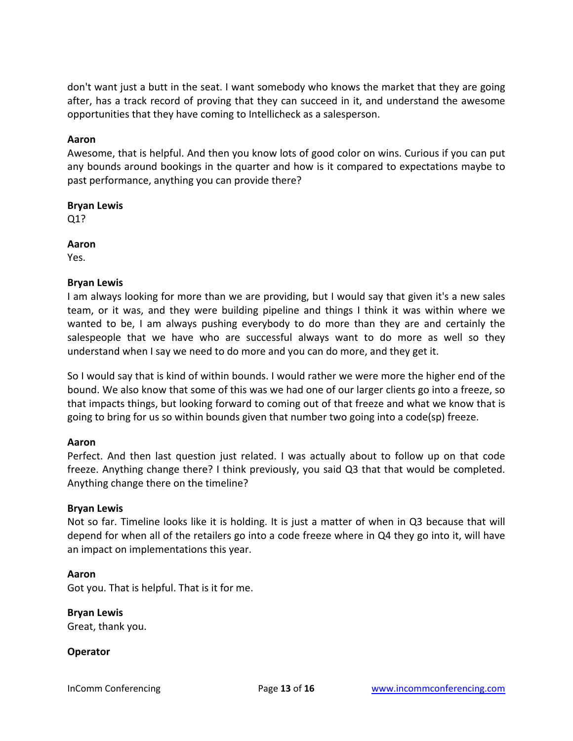don't want just a butt in the seat. I want somebody who knows the market that they are going after, has a track record of proving that they can succeed in it, and understand the awesome opportunities that they have coming to Intellicheck as a salesperson.

# **Aaron**

Awesome, that is helpful. And then you know lots of good color on wins. Curious if you can put any bounds around bookings in the quarter and how is it compared to expectations maybe to past performance, anything you can provide there?

# **Bryan Lewis**

Q1?

# **Aaron**

Yes.

# **Bryan Lewis**

I am always looking for more than we are providing, but I would say that given it's a new sales team, or it was, and they were building pipeline and things I think it was within where we wanted to be, I am always pushing everybody to do more than they are and certainly the salespeople that we have who are successful always want to do more as well so they understand when I say we need to do more and you can do more, and they get it.

So I would say that is kind of within bounds. I would rather we were more the higher end of the bound. We also know that some of this was we had one of our larger clients go into a freeze, so that impacts things, but looking forward to coming out of that freeze and what we know that is going to bring for us so within bounds given that number two going into a code(sp) freeze.

# **Aaron**

Perfect. And then last question just related. I was actually about to follow up on that code freeze. Anything change there? I think previously, you said Q3 that that would be completed. Anything change there on the timeline?

# **Bryan Lewis**

Not so far. Timeline looks like it is holding. It is just a matter of when in Q3 because that will depend for when all of the retailers go into a code freeze where in Q4 they go into it, will have an impact on implementations this year.

# **Aaron**

Got you. That is helpful. That is it for me.

**Bryan Lewis** Great, thank you.

# **Operator**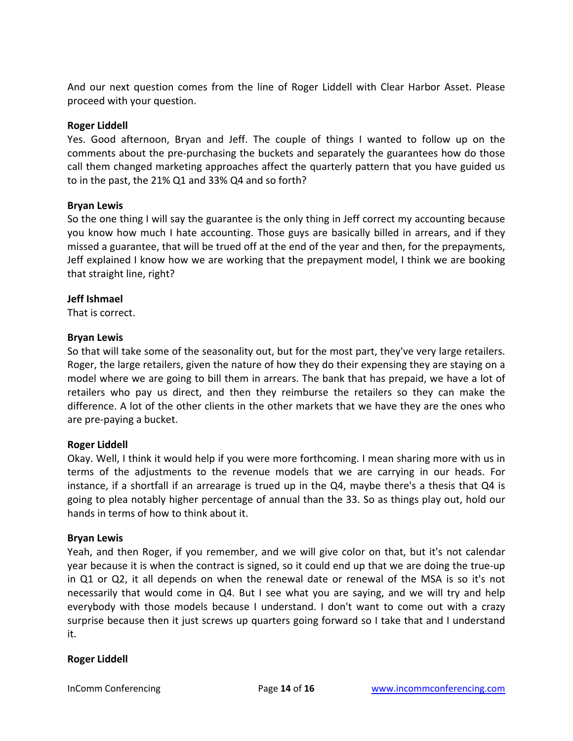And our next question comes from the line of Roger Liddell with Clear Harbor Asset. Please proceed with your question.

# **Roger Liddell**

Yes. Good afternoon, Bryan and Jeff. The couple of things I wanted to follow up on the comments about the pre-purchasing the buckets and separately the guarantees how do those call them changed marketing approaches affect the quarterly pattern that you have guided us to in the past, the 21% Q1 and 33% Q4 and so forth?

# **Bryan Lewis**

So the one thing I will say the guarantee is the only thing in Jeff correct my accounting because you know how much I hate accounting. Those guys are basically billed in arrears, and if they missed a guarantee, that will be trued off at the end of the year and then, for the prepayments, Jeff explained I know how we are working that the prepayment model, I think we are booking that straight line, right?

# **Jeff Ishmael**

That is correct.

# **Bryan Lewis**

So that will take some of the seasonality out, but for the most part, they've very large retailers. Roger, the large retailers, given the nature of how they do their expensing they are staying on a model where we are going to bill them in arrears. The bank that has prepaid, we have a lot of retailers who pay us direct, and then they reimburse the retailers so they can make the difference. A lot of the other clients in the other markets that we have they are the ones who are pre-paying a bucket.

# **Roger Liddell**

Okay. Well, I think it would help if you were more forthcoming. I mean sharing more with us in terms of the adjustments to the revenue models that we are carrying in our heads. For instance, if a shortfall if an arrearage is trued up in the Q4, maybe there's a thesis that Q4 is going to plea notably higher percentage of annual than the 33. So as things play out, hold our hands in terms of how to think about it.

#### **Bryan Lewis**

Yeah, and then Roger, if you remember, and we will give color on that, but it's not calendar year because it is when the contract is signed, so it could end up that we are doing the true-up in Q1 or Q2, it all depends on when the renewal date or renewal of the MSA is so it's not necessarily that would come in Q4. But I see what you are saying, and we will try and help everybody with those models because I understand. I don't want to come out with a crazy surprise because then it just screws up quarters going forward so I take that and I understand it.

#### **Roger Liddell**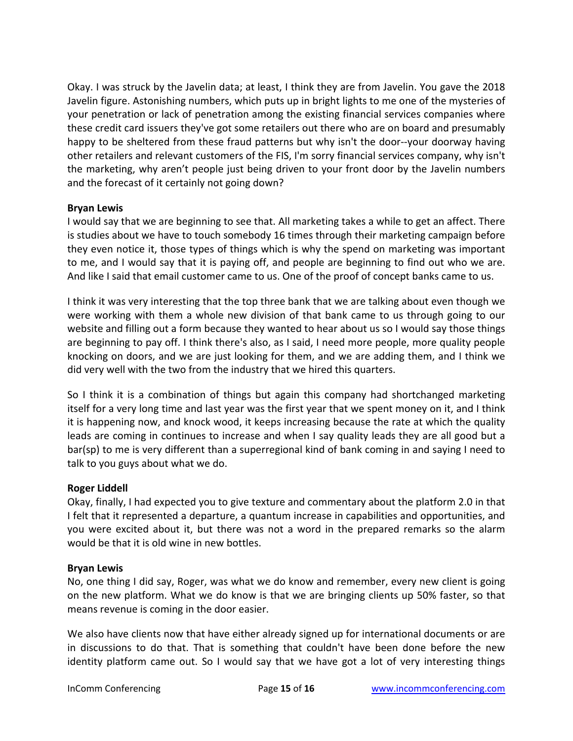Okay. I was struck by the Javelin data; at least, I think they are from Javelin. You gave the 2018 Javelin figure. Astonishing numbers, which puts up in bright lights to me one of the mysteries of your penetration or lack of penetration among the existing financial services companies where these credit card issuers they've got some retailers out there who are on board and presumably happy to be sheltered from these fraud patterns but why isn't the door--your doorway having other retailers and relevant customers of the FIS, I'm sorry financial services company, why isn't the marketing, why aren't people just being driven to your front door by the Javelin numbers and the forecast of it certainly not going down?

# **Bryan Lewis**

I would say that we are beginning to see that. All marketing takes a while to get an affect. There is studies about we have to touch somebody 16 times through their marketing campaign before they even notice it, those types of things which is why the spend on marketing was important to me, and I would say that it is paying off, and people are beginning to find out who we are. And like I said that email customer came to us. One of the proof of concept banks came to us.

I think it was very interesting that the top three bank that we are talking about even though we were working with them a whole new division of that bank came to us through going to our website and filling out a form because they wanted to hear about us so I would say those things are beginning to pay off. I think there's also, as I said, I need more people, more quality people knocking on doors, and we are just looking for them, and we are adding them, and I think we did very well with the two from the industry that we hired this quarters.

So I think it is a combination of things but again this company had shortchanged marketing itself for a very long time and last year was the first year that we spent money on it, and I think it is happening now, and knock wood, it keeps increasing because the rate at which the quality leads are coming in continues to increase and when I say quality leads they are all good but a bar(sp) to me is very different than a superregional kind of bank coming in and saying I need to talk to you guys about what we do.

# **Roger Liddell**

Okay, finally, I had expected you to give texture and commentary about the platform 2.0 in that I felt that it represented a departure, a quantum increase in capabilities and opportunities, and you were excited about it, but there was not a word in the prepared remarks so the alarm would be that it is old wine in new bottles.

# **Bryan Lewis**

No, one thing I did say, Roger, was what we do know and remember, every new client is going on the new platform. What we do know is that we are bringing clients up 50% faster, so that means revenue is coming in the door easier.

We also have clients now that have either already signed up for international documents or are in discussions to do that. That is something that couldn't have been done before the new identity platform came out. So I would say that we have got a lot of very interesting things